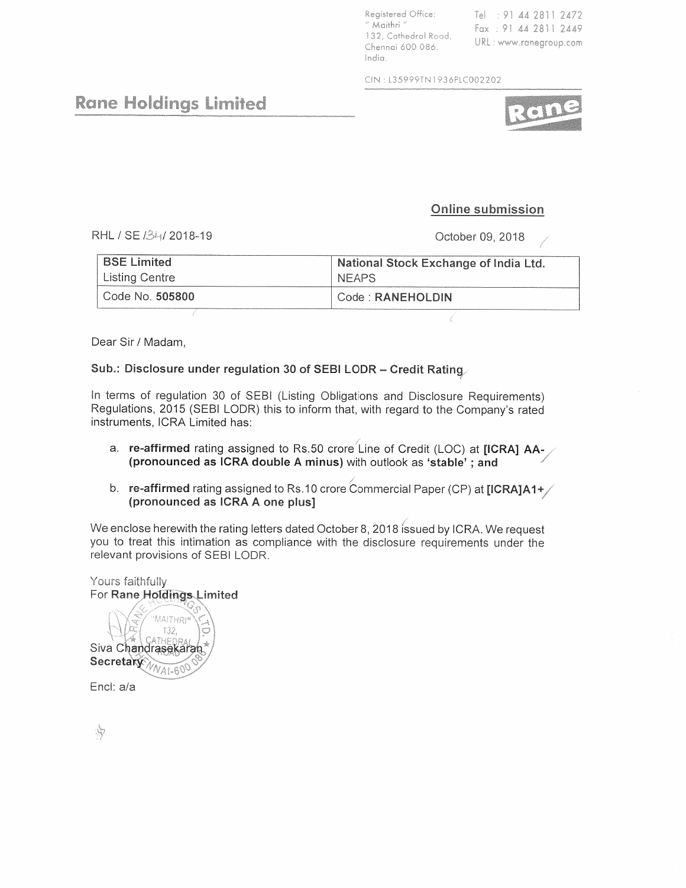Registered Office: Tel: 91 44 2811 2472 " Maithri " Fax: 91 44 2811 2449 132, Cathedral Road, URL: www.ranegroup.com Chennai 600 086. India

CIN: L35999TN1936PLC002202

Rane Holdings Limited

## Online submission

RHL / SE /34/2018-19

October 09, 2018

| <b>BSE Limited</b> | National Stock Exchange of India Ltd. |  |  |
|--------------------|---------------------------------------|--|--|
| Listing Centre     | <b>NEAPS</b>                          |  |  |
| Code No. 505800    | Code : RANEHOLDIN                     |  |  |

Dear Sir / Madam,

## Sub.: Disclosure under regulation 30 of SEBI LODR - Credit Rating

In terms of regulation 30 of SEBI (Listing Obligations and Disclosure Requirements) Regulations, 2015 (SEBI LODR) this to inform that, with regard to the Company's rated instruments, ICRA Limited has:

- a. re-affirmed rating assigned to Rs.50 crore Line of Credit (LOC) at [ICRA] AA-(pronounced as ICRA double A minus) with outlook as 'stable'; and
- b. re-affirmed rating assigned to Rs.10 crore Commercial Paper (CP) at [ICRA]A1+ (pronounced as ICRA A one plus]

We enclose herewith the rating letters dated October 8, 2018 issued by ICRA. We request you to treat this intimation as compliance with the disclosure requirements under the relevant provisions of SEBI LODR.

Yours faithfully For Rane Holdings Limited MAITHRI 132 Siva Chandrasekaran Secretary

Encl: a/a

Ŵ

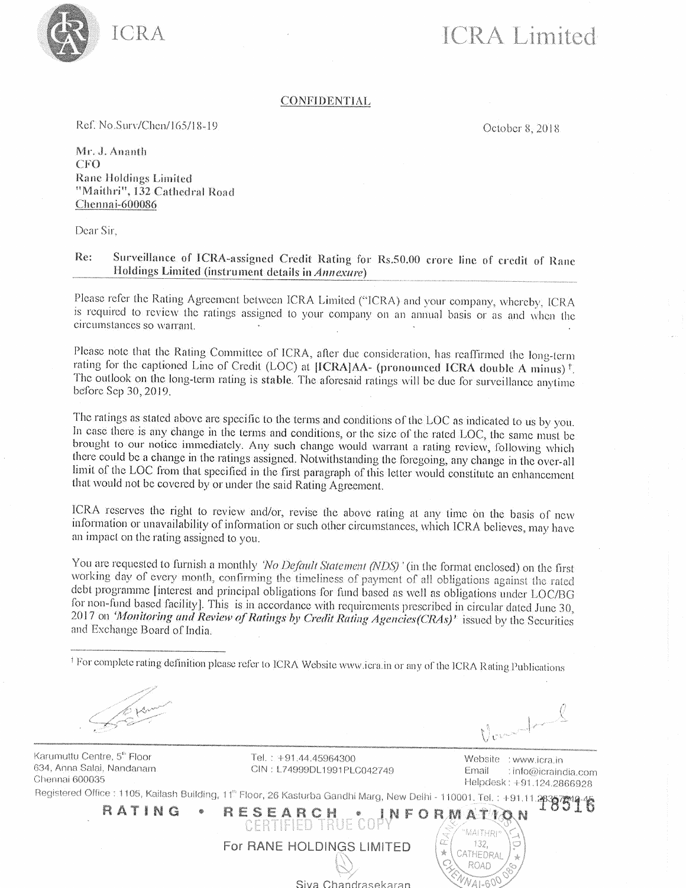

# **ICRA** Limited

### **CONFIDENTIAL**

Ref. No.Surv/Chen/165/18-19

October 8, 2018

Mr. J. Ananth **CFO Rane Holdings Limited** "Maithri", 132 Cathedral Road Chennai-600086

Dear Sir.

#### Re: Surveillance of ICRA-assigned Credit Rating for Rs.50.00 crore line of credit of Rane Holdings Limited (instrument details in Annexure)

Please refer the Rating Agreement between ICRA Limited ("ICRA) and your company, whereby, ICRA is required to review the ratings assigned to your company on an annual basis or as and when the circumstances so warrant.

Please note that the Rating Committee of ICRA, after due consideration, has reaffirmed the long-term rating for the captioned Line of Credit (LOC) at [ICRA]AA- (pronounced ICRA double A minus)<sup>†</sup>. The outlook on the long-term rating is stable. The aforesaid ratings will be due for surveillance anytime before Sep 30, 2019.

The ratings as stated above are specific to the terms and conditions of the LOC as indicated to us by you. In case there is any change in the terms and conditions, or the size of the rated LOC, the same must be brought to our notice immediately. Any such change would warrant a rating review, following which there could be a change in the ratings assigned. Notwithstanding the foregoing, any change in the over-all limit of the LOC from that specified in the first paragraph of this letter would constitute an enhancement that would not be covered by or under the said Rating Agreement.

ICRA reserves the right to review and/or, revise the above rating at any time on the basis of new information or unavailability of information or such other circumstances, which ICRA believes, may have an impact on the rating assigned to you.

You are requested to furnish a monthly 'No Default Statement (NDS)' (in the format enclosed) on the first working day of every month, confirming the timeliness of payment of all obligations against the rated debt programme [interest and principal obligations for fund based as well as obligations under LOC/BG for non-fund based facility]. This is in accordance with requirements prescribed in circular dated June 30, 2017 on 'Monitoring and Review of Ratings by Credit Rating Agencies(CRAs)' issued by the Securities and Exchange Board of India.

<sup>†</sup> For complete rating definition please refer to ICRA Website www.icra.in or any of the ICRA Rating Publications

Karumuttu Centre, 5<sup>th</sup> Floor 634, Anna Salai, Nandanam Chennai 600035

Tel.: +91.44.45964300 CIN: L74999DL1991PLC042749

 $\sqrt{ }$ Website : www.icra.in

Helpdesk: +91.124.2866928

: info@icraindia.com

Email

Criennar occupa.<br>Registered Office: : 1105, Kailash Building, 11<sup>th</sup> Floor, 26 Kasturba Gandhi Marg, New Delhi - 110001. Tel.: +91.11.283875 16

CERTIFIED TRUE COPY FORMATIO RESEARCH RATING \* Ωŕ For RANE HOLDINGS LIMITED 132.  $\frac{1}{N}$ CATHEDRAL ROAD

Siva Chandrasekaran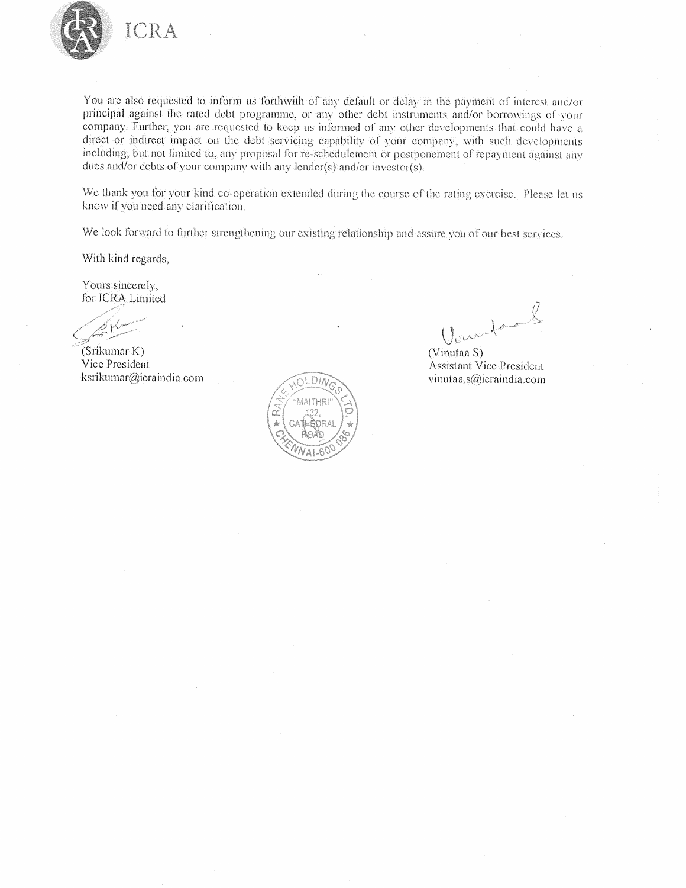

You are also requested to inform us forthwith of any default or delay in the payment of interest and/or principal against the rated debt programme, or any other debt instruments and/or borrowings of your company. Further, you are requested to keep us informed of any other developments that could have a direct or indirect impact on the debt servicing capability of your company, with such developments including, but not limited to, any proposal for re-schedulement or postponement of repayment against any dues and/or debts of your company with any lender(s) and/or investor(s).

We thank you for your kind co-operation extended during the course of the rating exercise. Please let us know if you need any clarification.

We look forward to further strengthening our existing relationship and assure you of our best services.

With kind regards,

Yours sincerely, for ICRA Limited

(Srikumar K) Vice President ksrikumar@icraindia.com

 $DU$ MAITHR m

Veurtaul

(Vinutaa S) **Assistant Vice President** vinutaa.s@icraindia.com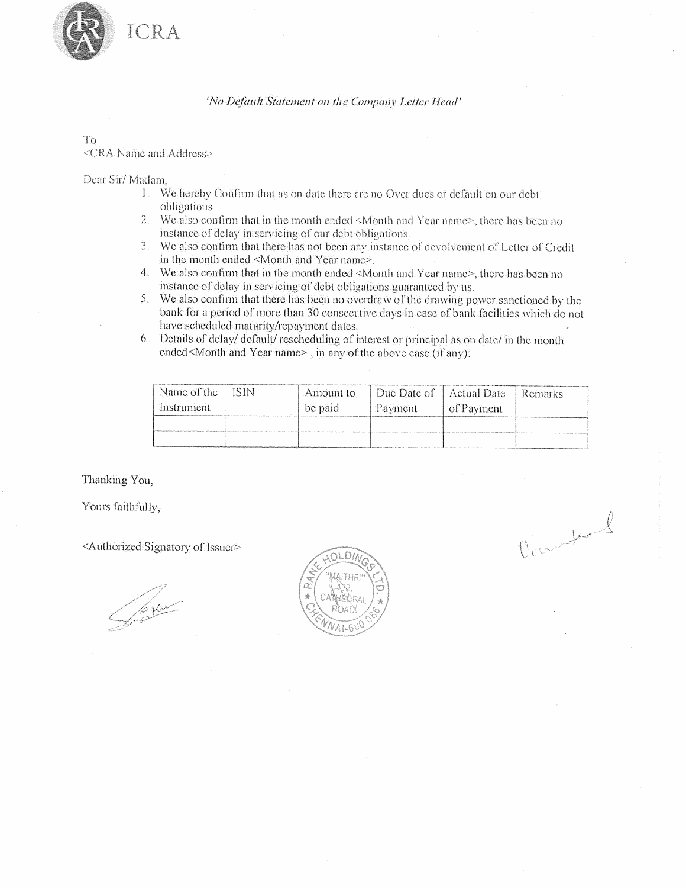

'No Default Statement on the Company Letter Head'

 $To$ <CRA Name and Address>

Dear Sir/Madam.

- 1. We hereby Confirm that as on date there are no Over dues or default on our debt obligations
- 2. We also confirm that in the month ended <Month and Year name>, there has been no instance of delay in servicing of our debt obligations.
- 3. We also confirm that there has not been any instance of devolvement of Letter of Credit in the month ended <Month and Year name>.
- 4. We also confirm that in the month ended <Month and Year name>, there has been no instance of delay in servicing of debt obligations guaranteed by us.
- 5. We also confirm that there has been no overdraw of the drawing power sanctioned by the bank for a period of more than 30 consecutive days in case of bank facilities which do not have scheduled maturity/repayment dates.
- 6. Details of delay/ default/ rescheduling of interest or principal as on date/ in the month ended<Month and Year name>, in any of the above case (if any):

| Name of the | ISIN | Amount to | Due Date of | Actual Date | <b>Remarks</b> |
|-------------|------|-----------|-------------|-------------|----------------|
| Instrument  |      | be paid.  | Payment     | of Payment  |                |
|             |      |           |             |             |                |
|             |      |           |             |             |                |

Denneford

Thanking You,

Yours faithfully,

<Authorized Signatory of Issuer>

**Jerum** 

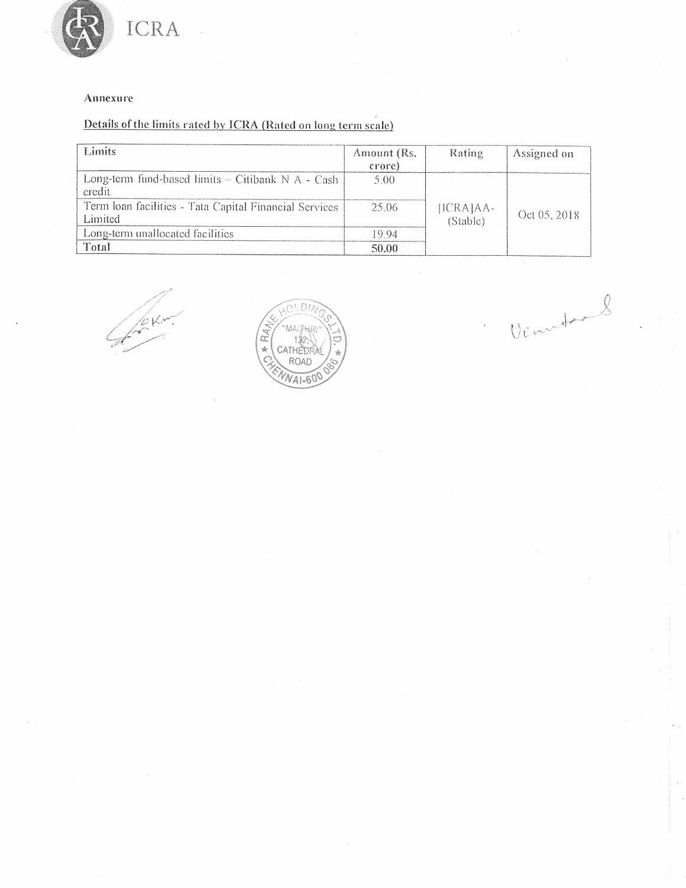

## Annexure

## Details of the limits rated by ICRA (Rated on long term scale)

| Limits                                                            | Amount (Rs.<br>crore) | Rating                | Assigned on  |
|-------------------------------------------------------------------|-----------------------|-----------------------|--------------|
| Long-term fund-based limits - Citibank N A - Cash<br>credit       | 5.00                  |                       |              |
| Term Ioan facilities - Tata Capital Financial Services<br>Limited | 25.06                 | [ICRA]AA-<br>(Stable) | Oct 05, 2018 |
| Long-term unallocated facilities                                  | -9.94                 |                       |              |
| Total                                                             | 50.00                 |                       |              |

Yezir



Vinctions